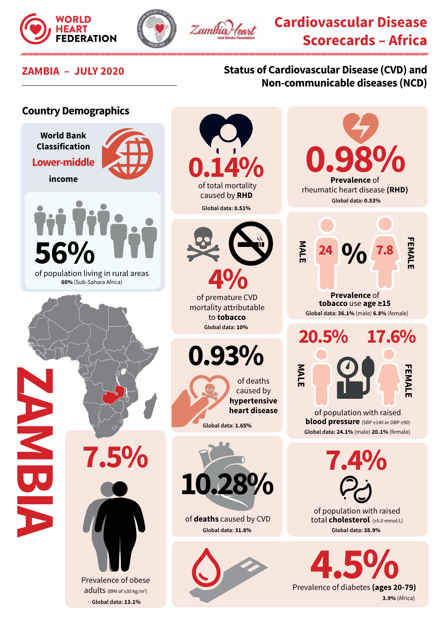





# **Cardiovascular Disease Scorecards – Africa**

## **ZAMBIA – JULY 2020 Status of Cardiovascular Disease (CVD) and Non-communicable diseases (NCD)**

#### **Country Demographics World Bank Classification 0.98% 0.14% Lower-middle income Prevalence** of rheumatic heart disease **(RHD)** caused by **RHD Global data: 0.53% Global data: 0.51% FEMALE MALE EMAL 7.8 % 56% 24**  $4\%$ <br>of premature CVD of population living in rural areas **60%** (Sub-Sahara Africa) **Prevalence** of **tobacco** use **age ≥15** mortality attributable **Global data: 36.1%** (male) **6.8%** (female) to **tobacco Global data: 10% 20.5% 17.6% 0.93% MALE** of deaths caused by **hypertensive ZAMBIAheart disease** of population with raised **blood pressure** (SBP ≥140 or DBP ≥90) **Global data: 1.65% Global data: 24.1%** (male) **20.1%** (female) **7.5% 7.4% 10.28%** of population with raised of **deaths** caused by CVD total **cholesterol** (≥5.0 mmol/L) **Global data: 31.8% Global data: 38.9% 2.5%**<br>Prevalence of diabetes (ages 20-79) Prevalence of obese adults (BMI of ≥30 kg/m<sup>2</sup>) **3.9%** (Africa) **Global data: 13.1%**